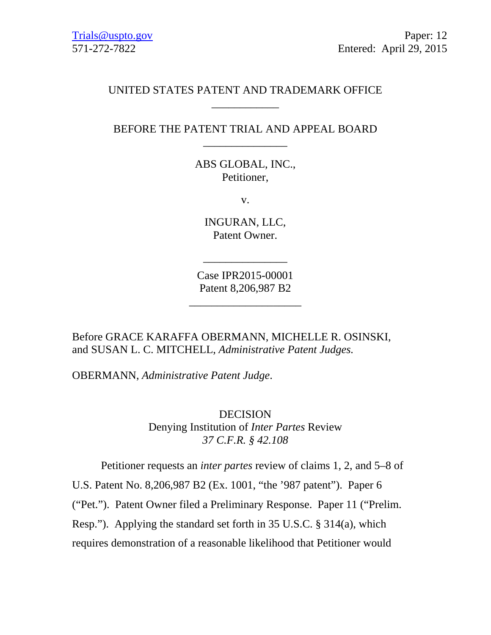## UNITED STATES PATENT AND TRADEMARK OFFICE \_\_\_\_\_\_\_\_\_\_\_\_

## BEFORE THE PATENT TRIAL AND APPEAL BOARD \_\_\_\_\_\_\_\_\_\_\_\_\_\_\_

ABS GLOBAL, INC., Petitioner,

v.

INGURAN, LLC, Patent Owner.

Case IPR2015-00001 Patent 8,206,987 B2

\_\_\_\_\_\_\_\_\_\_\_\_\_\_\_\_\_\_\_\_

\_\_\_\_\_\_\_\_\_\_\_\_\_\_\_

Before GRACE KARAFFA OBERMANN, MICHELLE R. OSINSKI, and SUSAN L. C. MITCHELL, *Administrative Patent Judges.* 

OBERMANN, *Administrative Patent Judge*.

DECISION Denying Institution of *Inter Partes* Review *37 C.F.R. § 42.108* 

Petitioner requests an *inter partes* review of claims 1, 2, and 5–8 of U.S. Patent No. 8,206,987 B2 (Ex. 1001, "the '987 patent"). Paper 6 ("Pet."). Patent Owner filed a Preliminary Response. Paper 11 ("Prelim.

Resp."). Applying the standard set forth in 35 U.S.C. § 314(a), which

requires demonstration of a reasonable likelihood that Petitioner would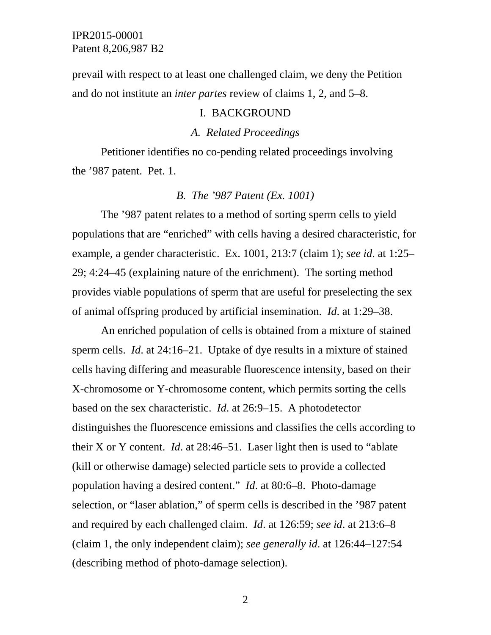prevail with respect to at least one challenged claim, we deny the Petition and do not institute an *inter partes* review of claims 1, 2, and 5–8.

#### I. BACKGROUND

### *A. Related Proceedings*

Petitioner identifies no co-pending related proceedings involving the '987 patent. Pet. 1.

#### *B. The '987 Patent (Ex. 1001)*

The '987 patent relates to a method of sorting sperm cells to yield populations that are "enriched" with cells having a desired characteristic, for example, a gender characteristic. Ex. 1001, 213:7 (claim 1); *see id*. at 1:25– 29; 4:24–45 (explaining nature of the enrichment). The sorting method provides viable populations of sperm that are useful for preselecting the sex of animal offspring produced by artificial insemination. *Id*. at 1:29–38.

An enriched population of cells is obtained from a mixture of stained sperm cells. *Id*. at 24:16–21. Uptake of dye results in a mixture of stained cells having differing and measurable fluorescence intensity, based on their X-chromosome or Y-chromosome content, which permits sorting the cells based on the sex characteristic. *Id*. at 26:9–15. A photodetector distinguishes the fluorescence emissions and classifies the cells according to their X or Y content. *Id*. at 28:46–51. Laser light then is used to "ablate (kill or otherwise damage) selected particle sets to provide a collected population having a desired content." *Id*. at 80:6–8. Photo-damage selection, or "laser ablation," of sperm cells is described in the '987 patent and required by each challenged claim. *Id*. at 126:59; *see id*. at 213:6–8 (claim 1, the only independent claim); *see generally id*. at 126:44–127:54 (describing method of photo-damage selection).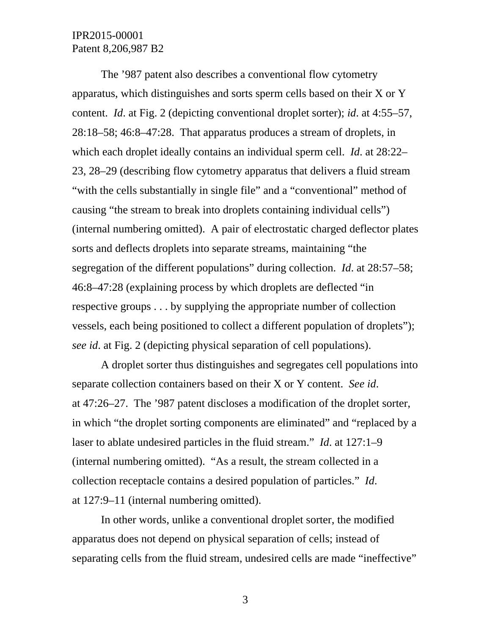The '987 patent also describes a conventional flow cytometry apparatus, which distinguishes and sorts sperm cells based on their X or Y content. *Id*. at Fig. 2 (depicting conventional droplet sorter); *id*. at 4:55–57, 28:18–58; 46:8–47:28. That apparatus produces a stream of droplets, in which each droplet ideally contains an individual sperm cell. *Id*. at 28:22– 23, 28–29 (describing flow cytometry apparatus that delivers a fluid stream "with the cells substantially in single file" and a "conventional" method of causing "the stream to break into droplets containing individual cells") (internal numbering omitted). A pair of electrostatic charged deflector plates sorts and deflects droplets into separate streams, maintaining "the segregation of the different populations" during collection. *Id*. at 28:57–58; 46:8–47:28 (explaining process by which droplets are deflected "in respective groups . . . by supplying the appropriate number of collection vessels, each being positioned to collect a different population of droplets"); *see id*. at Fig. 2 (depicting physical separation of cell populations).

A droplet sorter thus distinguishes and segregates cell populations into separate collection containers based on their X or Y content. *See id*. at 47:26–27. The '987 patent discloses a modification of the droplet sorter, in which "the droplet sorting components are eliminated" and "replaced by a laser to ablate undesired particles in the fluid stream." *Id*. at 127:1–9 (internal numbering omitted). "As a result, the stream collected in a collection receptacle contains a desired population of particles." *Id*. at 127:9–11 (internal numbering omitted).

In other words, unlike a conventional droplet sorter, the modified apparatus does not depend on physical separation of cells; instead of separating cells from the fluid stream, undesired cells are made "ineffective"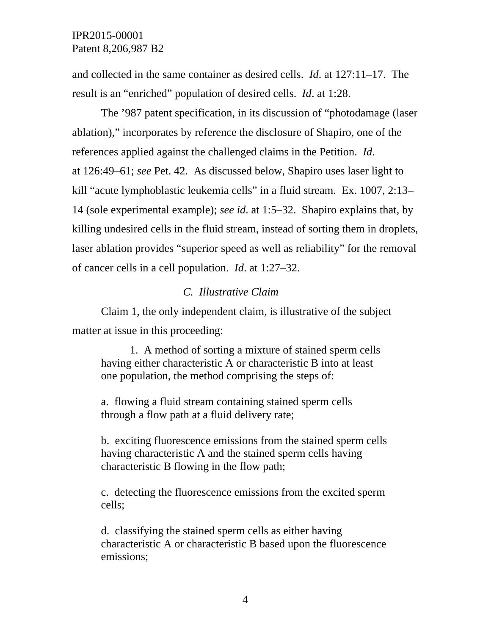and collected in the same container as desired cells. *Id*. at 127:11–17. The result is an "enriched" population of desired cells. *Id*. at 1:28.

The '987 patent specification, in its discussion of "photodamage (laser ablation)," incorporates by reference the disclosure of Shapiro, one of the references applied against the challenged claims in the Petition. *Id*. at 126:49–61; *see* Pet. 42. As discussed below, Shapiro uses laser light to kill "acute lymphoblastic leukemia cells" in a fluid stream. Ex. 1007, 2:13– 14 (sole experimental example); *see id*. at 1:5–32. Shapiro explains that, by killing undesired cells in the fluid stream, instead of sorting them in droplets, laser ablation provides "superior speed as well as reliability" for the removal of cancer cells in a cell population. *Id*. at 1:27–32.

## *C. Illustrative Claim*

Claim 1, the only independent claim, is illustrative of the subject matter at issue in this proceeding:

1. A method of sorting a mixture of stained sperm cells having either characteristic A or characteristic B into at least one population, the method comprising the steps of:

a. flowing a fluid stream containing stained sperm cells through a flow path at a fluid delivery rate;

b. exciting fluorescence emissions from the stained sperm cells having characteristic A and the stained sperm cells having characteristic B flowing in the flow path;

c. detecting the fluorescence emissions from the excited sperm cells;

d. classifying the stained sperm cells as either having characteristic A or characteristic B based upon the fluorescence emissions;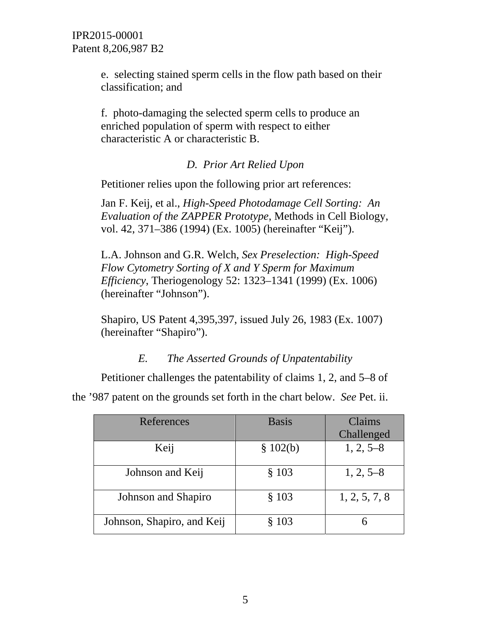e. selecting stained sperm cells in the flow path based on their classification; and

f. photo-damaging the selected sperm cells to produce an enriched population of sperm with respect to either characteristic A or characteristic B.

# *D. Prior Art Relied Upon*

Petitioner relies upon the following prior art references:

Jan F. Keij, et al., *High-Speed Photodamage Cell Sorting: An Evaluation of the ZAPPER Prototype*, Methods in Cell Biology, vol. 42, 371–386 (1994) (Ex. 1005) (hereinafter "Keij").

L.A. Johnson and G.R. Welch, *Sex Preselection: High-Speed Flow Cytometry Sorting of X and Y Sperm for Maximum Efficiency*, Theriogenology 52: 1323–1341 (1999) (Ex. 1006) (hereinafter "Johnson").

Shapiro, US Patent 4,395,397, issued July 26, 1983 (Ex. 1007) (hereinafter "Shapiro").

*E. The Asserted Grounds of Unpatentability* 

Petitioner challenges the patentability of claims 1, 2, and 5–8 of

the '987 patent on the grounds set forth in the chart below. *See* Pet. ii.

| References                 | <b>Basis</b> | Claims        |
|----------------------------|--------------|---------------|
|                            |              | Challenged    |
| Keij                       | \$102(b)     | $1, 2, 5-8$   |
| Johnson and Keij           | § 103        | $1, 2, 5-8$   |
| Johnson and Shapiro        | § 103        | 1, 2, 5, 7, 8 |
| Johnson, Shapiro, and Keij | § 103        |               |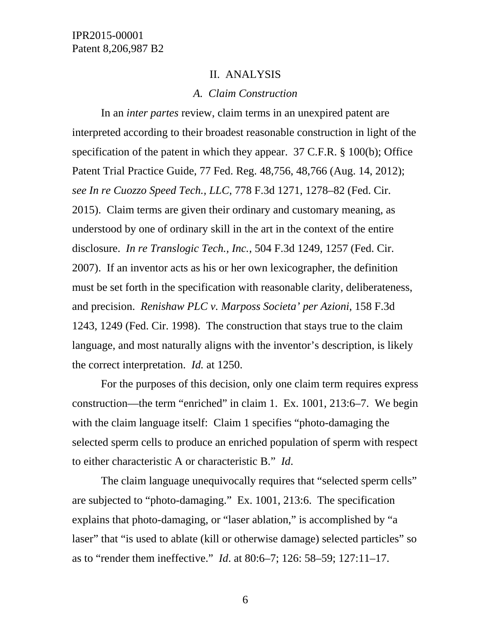#### II. ANALYSIS

### *A. Claim Construction*

 In an *inter partes* review, claim terms in an unexpired patent are interpreted according to their broadest reasonable construction in light of the specification of the patent in which they appear. 37 C.F.R. § 100(b); Office Patent Trial Practice Guide, 77 Fed. Reg. 48,756, 48,766 (Aug. 14, 2012); *see In re Cuozzo Speed Tech., LLC*, 778 F.3d 1271, 1278–82 (Fed. Cir. 2015). Claim terms are given their ordinary and customary meaning, as understood by one of ordinary skill in the art in the context of the entire disclosure. *In re Translogic Tech., Inc.*, 504 F.3d 1249, 1257 (Fed. Cir. 2007). If an inventor acts as his or her own lexicographer, the definition must be set forth in the specification with reasonable clarity, deliberateness, and precision. *Renishaw PLC v. Marposs Societa' per Azioni*, 158 F.3d 1243, 1249 (Fed. Cir. 1998). The construction that stays true to the claim language, and most naturally aligns with the inventor's description, is likely the correct interpretation. *Id.* at 1250.

For the purposes of this decision, only one claim term requires express construction—the term "enriched" in claim 1. Ex. 1001, 213:6–7. We begin with the claim language itself: Claim 1 specifies "photo-damaging the selected sperm cells to produce an enriched population of sperm with respect to either characteristic A or characteristic B." *Id*.

The claim language unequivocally requires that "selected sperm cells" are subjected to "photo-damaging." Ex. 1001, 213:6. The specification explains that photo-damaging, or "laser ablation," is accomplished by "a laser" that "is used to ablate (kill or otherwise damage) selected particles" so as to "render them ineffective." *Id*. at 80:6–7; 126: 58–59; 127:11–17.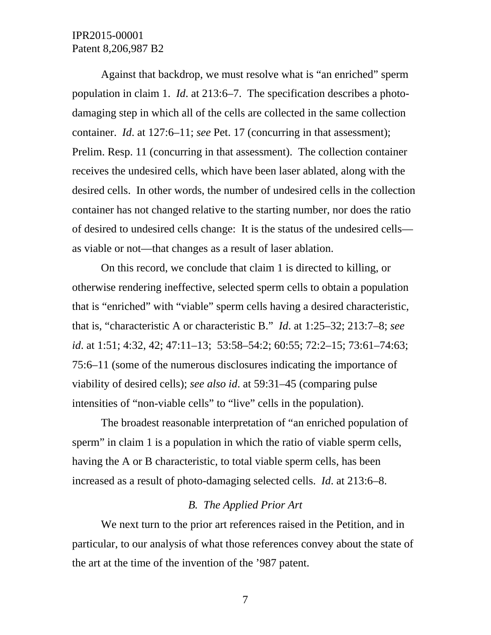Against that backdrop, we must resolve what is "an enriched" sperm population in claim 1. *Id*. at 213:6–7. The specification describes a photodamaging step in which all of the cells are collected in the same collection container. *Id*. at 127:6–11; *see* Pet. 17 (concurring in that assessment); Prelim. Resp. 11 (concurring in that assessment). The collection container receives the undesired cells, which have been laser ablated, along with the desired cells. In other words, the number of undesired cells in the collection container has not changed relative to the starting number, nor does the ratio of desired to undesired cells change: It is the status of the undesired cells as viable or not—that changes as a result of laser ablation.

On this record, we conclude that claim 1 is directed to killing, or otherwise rendering ineffective, selected sperm cells to obtain a population that is "enriched" with "viable" sperm cells having a desired characteristic, that is, "characteristic A or characteristic B." *Id*. at 1:25–32; 213:7–8; *see id*. at 1:51; 4:32, 42; 47:11–13; 53:58–54:2; 60:55; 72:2–15; 73:61–74:63; 75:6–11 (some of the numerous disclosures indicating the importance of viability of desired cells); *see also id*. at 59:31–45 (comparing pulse intensities of "non-viable cells" to "live" cells in the population).

The broadest reasonable interpretation of "an enriched population of sperm" in claim 1 is a population in which the ratio of viable sperm cells, having the A or B characteristic, to total viable sperm cells, has been increased as a result of photo-damaging selected cells. *Id*. at 213:6–8.

### *B. The Applied Prior Art*

We next turn to the prior art references raised in the Petition, and in particular, to our analysis of what those references convey about the state of the art at the time of the invention of the '987 patent.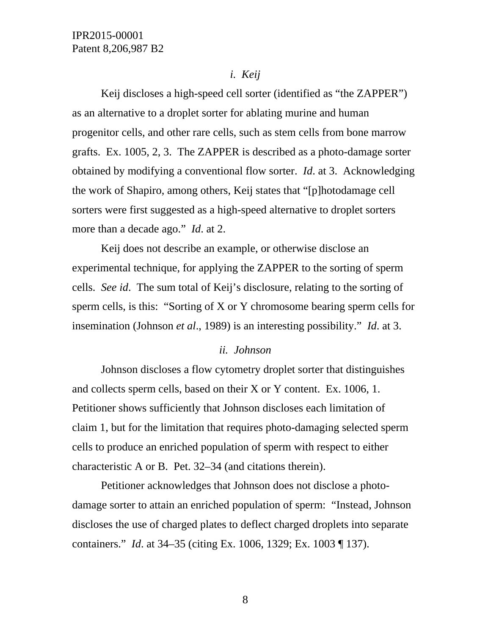### *i. Keij*

Keij discloses a high-speed cell sorter (identified as "the ZAPPER") as an alternative to a droplet sorter for ablating murine and human progenitor cells, and other rare cells, such as stem cells from bone marrow grafts. Ex. 1005, 2, 3. The ZAPPER is described as a photo-damage sorter obtained by modifying a conventional flow sorter. *Id*. at 3. Acknowledging the work of Shapiro, among others, Keij states that "[p]hotodamage cell sorters were first suggested as a high-speed alternative to droplet sorters more than a decade ago." *Id*. at 2.

Keij does not describe an example, or otherwise disclose an experimental technique, for applying the ZAPPER to the sorting of sperm cells. *See id*. The sum total of Keij's disclosure, relating to the sorting of sperm cells, is this: "Sorting of X or Y chromosome bearing sperm cells for insemination (Johnson *et al*., 1989) is an interesting possibility." *Id*. at 3.

### *ii. Johnson*

Johnson discloses a flow cytometry droplet sorter that distinguishes and collects sperm cells, based on their X or Y content. Ex. 1006, 1. Petitioner shows sufficiently that Johnson discloses each limitation of claim 1, but for the limitation that requires photo-damaging selected sperm cells to produce an enriched population of sperm with respect to either characteristic A or B. Pet. 32–34 (and citations therein).

Petitioner acknowledges that Johnson does not disclose a photodamage sorter to attain an enriched population of sperm: "Instead, Johnson discloses the use of charged plates to deflect charged droplets into separate containers." *Id*. at 34–35 (citing Ex. 1006, 1329; Ex. 1003 ¶ 137).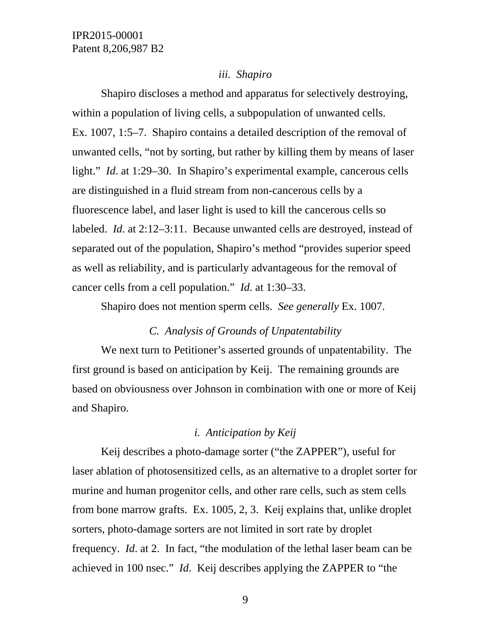#### *iii. Shapiro*

Shapiro discloses a method and apparatus for selectively destroying, within a population of living cells, a subpopulation of unwanted cells. Ex. 1007, 1:5–7. Shapiro contains a detailed description of the removal of unwanted cells, "not by sorting, but rather by killing them by means of laser light." *Id.* at 1:29–30. In Shapiro's experimental example, cancerous cells are distinguished in a fluid stream from non-cancerous cells by a fluorescence label, and laser light is used to kill the cancerous cells so labeled. *Id*. at 2:12–3:11. Because unwanted cells are destroyed, instead of separated out of the population, Shapiro's method "provides superior speed as well as reliability, and is particularly advantageous for the removal of cancer cells from a cell population." *Id*. at 1:30–33.

Shapiro does not mention sperm cells. *See generally* Ex. 1007.

### *C. Analysis of Grounds of Unpatentability*

We next turn to Petitioner's asserted grounds of unpatentability. The first ground is based on anticipation by Keij. The remaining grounds are based on obviousness over Johnson in combination with one or more of Keij and Shapiro.

### *i. Anticipation by Keij*

Keij describes a photo-damage sorter ("the ZAPPER"), useful for laser ablation of photosensitized cells, as an alternative to a droplet sorter for murine and human progenitor cells, and other rare cells, such as stem cells from bone marrow grafts. Ex. 1005, 2, 3. Keij explains that, unlike droplet sorters, photo-damage sorters are not limited in sort rate by droplet frequency. *Id*. at 2. In fact, "the modulation of the lethal laser beam can be achieved in 100 nsec." *Id*. Keij describes applying the ZAPPER to "the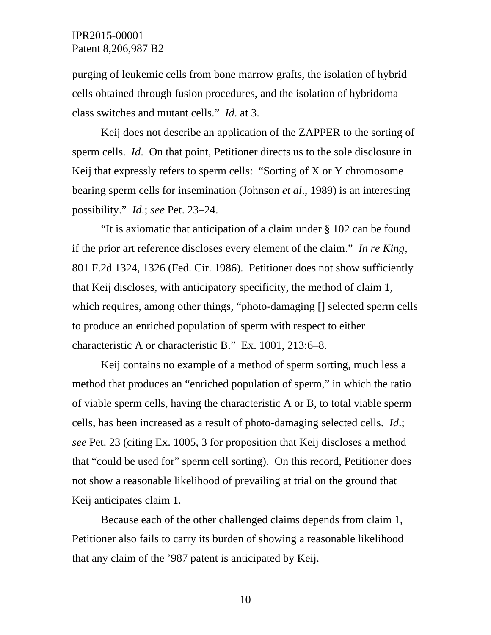purging of leukemic cells from bone marrow grafts, the isolation of hybrid cells obtained through fusion procedures, and the isolation of hybridoma class switches and mutant cells." *Id*. at 3.

Keij does not describe an application of the ZAPPER to the sorting of sperm cells. *Id*. On that point, Petitioner directs us to the sole disclosure in Keij that expressly refers to sperm cells: "Sorting of X or Y chromosome bearing sperm cells for insemination (Johnson *et al*., 1989) is an interesting possibility." *Id*.; *see* Pet. 23–24.

"It is axiomatic that anticipation of a claim under § 102 can be found if the prior art reference discloses every element of the claim." *In re King*, 801 F.2d 1324, 1326 (Fed. Cir. 1986). Petitioner does not show sufficiently that Keij discloses, with anticipatory specificity, the method of claim 1, which requires, among other things, "photo-damaging [] selected sperm cells to produce an enriched population of sperm with respect to either characteristic A or characteristic B." Ex. 1001, 213:6–8.

Keij contains no example of a method of sperm sorting, much less a method that produces an "enriched population of sperm," in which the ratio of viable sperm cells, having the characteristic A or B, to total viable sperm cells, has been increased as a result of photo-damaging selected cells. *Id*.; *see* Pet. 23 (citing Ex. 1005, 3 for proposition that Keij discloses a method that "could be used for" sperm cell sorting). On this record, Petitioner does not show a reasonable likelihood of prevailing at trial on the ground that Keij anticipates claim 1.

Because each of the other challenged claims depends from claim 1, Petitioner also fails to carry its burden of showing a reasonable likelihood that any claim of the '987 patent is anticipated by Keij.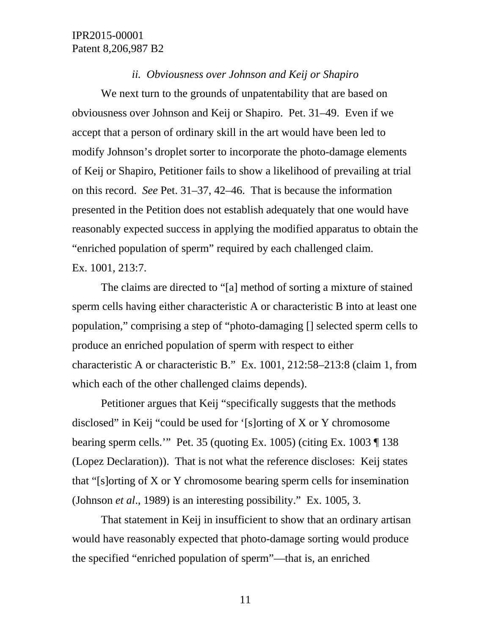#### *ii. Obviousness over Johnson and Keij or Shapiro*

 We next turn to the grounds of unpatentability that are based on obviousness over Johnson and Keij or Shapiro. Pet. 31–49. Even if we accept that a person of ordinary skill in the art would have been led to modify Johnson's droplet sorter to incorporate the photo-damage elements of Keij or Shapiro, Petitioner fails to show a likelihood of prevailing at trial on this record. *See* Pet. 31–37, 42–46. That is because the information presented in the Petition does not establish adequately that one would have reasonably expected success in applying the modified apparatus to obtain the "enriched population of sperm" required by each challenged claim. Ex. 1001, 213:7.

The claims are directed to "[a] method of sorting a mixture of stained sperm cells having either characteristic A or characteristic B into at least one population," comprising a step of "photo-damaging [] selected sperm cells to produce an enriched population of sperm with respect to either characteristic A or characteristic B." Ex. 1001, 212:58–213:8 (claim 1, from which each of the other challenged claims depends).

Petitioner argues that Keij "specifically suggests that the methods disclosed" in Keij "could be used for '[s]orting of X or Y chromosome bearing sperm cells.'" Pet. 35 (quoting Ex. 1005) (citing Ex. 1003 ¶ 138 (Lopez Declaration)). That is not what the reference discloses: Keij states that "[s]orting of X or Y chromosome bearing sperm cells for insemination (Johnson *et al*., 1989) is an interesting possibility." Ex. 1005, 3.

That statement in Keij in insufficient to show that an ordinary artisan would have reasonably expected that photo-damage sorting would produce the specified "enriched population of sperm"—that is, an enriched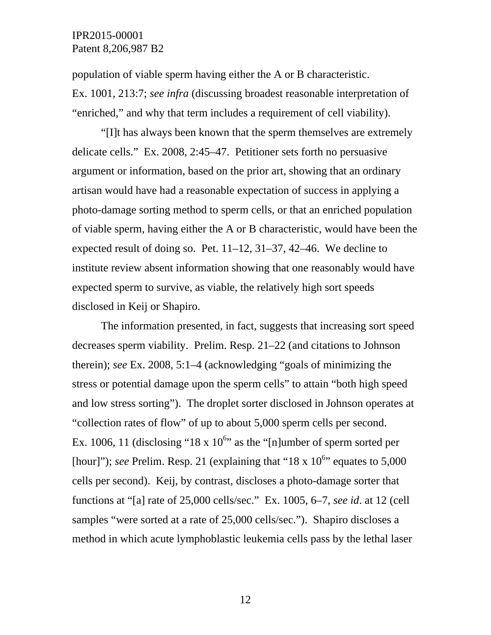population of viable sperm having either the A or B characteristic. Ex. 1001, 213:7; *see infra* (discussing broadest reasonable interpretation of "enriched," and why that term includes a requirement of cell viability).

"[I]t has always been known that the sperm themselves are extremely delicate cells." Ex. 2008, 2:45–47. Petitioner sets forth no persuasive argument or information, based on the prior art, showing that an ordinary artisan would have had a reasonable expectation of success in applying a photo-damage sorting method to sperm cells, or that an enriched population of viable sperm, having either the A or B characteristic, would have been the expected result of doing so. Pet. 11–12, 31–37, 42–46. We decline to institute review absent information showing that one reasonably would have expected sperm to survive, as viable, the relatively high sort speeds disclosed in Keij or Shapiro.

The information presented, in fact, suggests that increasing sort speed decreases sperm viability. Prelim. Resp. 21–22 (and citations to Johnson therein); *see* Ex. 2008, 5:1–4 (acknowledging "goals of minimizing the stress or potential damage upon the sperm cells" to attain "both high speed and low stress sorting"). The droplet sorter disclosed in Johnson operates at "collection rates of flow" of up to about 5,000 sperm cells per second. Ex. 1006, 11 (disclosing "18 x  $10^{6}$ " as the "[n]umber of sperm sorted per [hour]"); *see* Prelim. Resp. 21 (explaining that "18 x  $10^{6}$ " equates to 5,000 cells per second). Keij, by contrast, discloses a photo-damage sorter that functions at "[a] rate of 25,000 cells/sec." Ex. 1005, 6–7, *see id*. at 12 (cell samples "were sorted at a rate of 25,000 cells/sec."). Shapiro discloses a method in which acute lymphoblastic leukemia cells pass by the lethal laser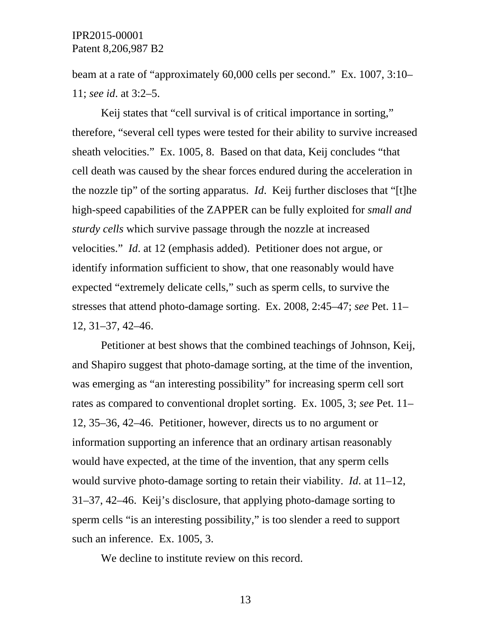beam at a rate of "approximately 60,000 cells per second." Ex. 1007, 3:10– 11; *see id*. at 3:2–5.

Keij states that "cell survival is of critical importance in sorting," therefore, "several cell types were tested for their ability to survive increased sheath velocities." Ex. 1005, 8. Based on that data, Keij concludes "that cell death was caused by the shear forces endured during the acceleration in the nozzle tip" of the sorting apparatus. *Id*. Keij further discloses that "[t]he high-speed capabilities of the ZAPPER can be fully exploited for *small and sturdy cells* which survive passage through the nozzle at increased velocities." *Id*. at 12 (emphasis added). Petitioner does not argue, or identify information sufficient to show, that one reasonably would have expected "extremely delicate cells," such as sperm cells, to survive the stresses that attend photo-damage sorting. Ex. 2008, 2:45–47; *see* Pet. 11– 12, 31–37, 42–46.

Petitioner at best shows that the combined teachings of Johnson, Keij, and Shapiro suggest that photo-damage sorting, at the time of the invention, was emerging as "an interesting possibility" for increasing sperm cell sort rates as compared to conventional droplet sorting. Ex. 1005, 3; *see* Pet. 11– 12, 35–36, 42–46. Petitioner, however, directs us to no argument or information supporting an inference that an ordinary artisan reasonably would have expected, at the time of the invention, that any sperm cells would survive photo-damage sorting to retain their viability. *Id*. at 11–12, 31–37, 42–46. Keij's disclosure, that applying photo-damage sorting to sperm cells "is an interesting possibility," is too slender a reed to support such an inference. Ex. 1005, 3.

We decline to institute review on this record.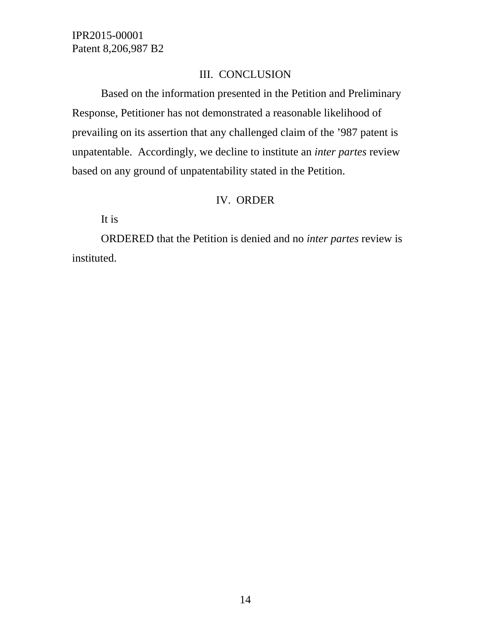# III. CONCLUSION

Based on the information presented in the Petition and Preliminary Response, Petitioner has not demonstrated a reasonable likelihood of prevailing on its assertion that any challenged claim of the '987 patent is unpatentable. Accordingly, we decline to institute an *inter partes* review based on any ground of unpatentability stated in the Petition.

# IV. ORDER

It is

ORDERED that the Petition is denied and no *inter partes* review is instituted.